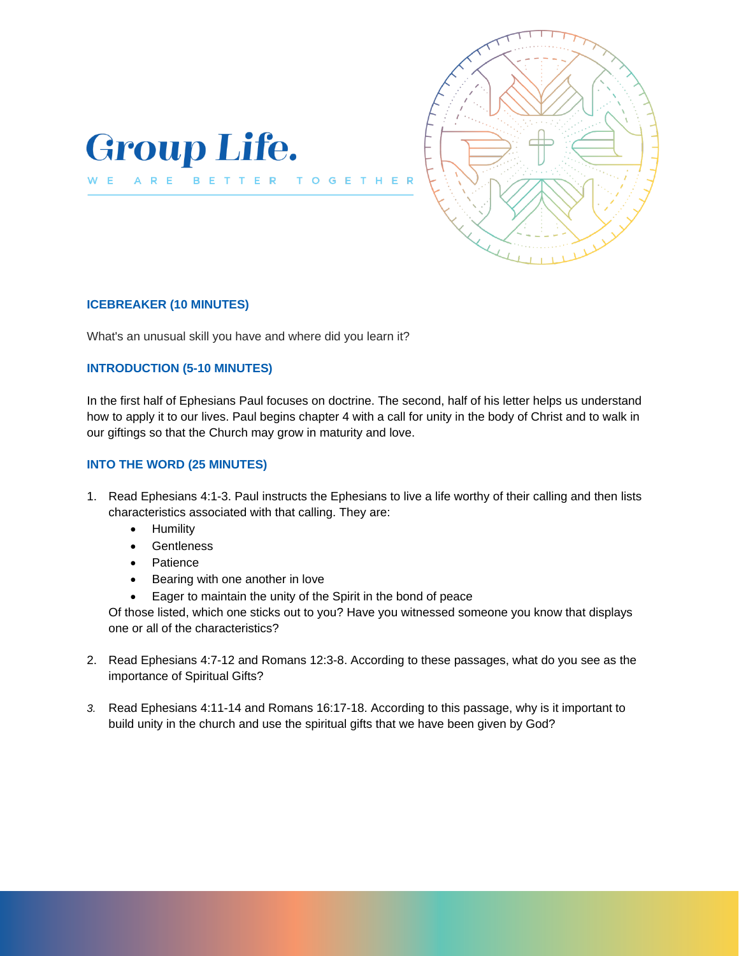



### **ICEBREAKER (10 MINUTES)**

ARE

W E

What's an unusual skill you have and where did you learn it?

BETTER

T O

 $\mathbf{G}$ E

## **INTRODUCTION (5-10 MINUTES)**

In the first half of Ephesians Paul focuses on doctrine. The second, half of his letter helps us understand how to apply it to our lives. Paul begins chapter 4 with a call for unity in the body of Christ and to walk in our giftings so that the Church may grow in maturity and love.

### **INTO THE WORD (25 MINUTES)**

- 1. Read Ephesians 4:1-3. Paul instructs the Ephesians to live a life worthy of their calling and then lists characteristics associated with that calling. They are:
	- Humility
	- Gentleness
	- Patience
	- Bearing with one another in love
	- Eager to maintain the unity of the Spirit in the bond of peace

Of those listed, which one sticks out to you? Have you witnessed someone you know that displays one or all of the characteristics?

- 2. Read Ephesians 4:7-12 and Romans 12:3-8. According to these passages, what do you see as the importance of Spiritual Gifts?
- *3.* Read Ephesians 4:11-14 and Romans 16:17-18. According to this passage, why is it important to build unity in the church and use the spiritual gifts that we have been given by God?